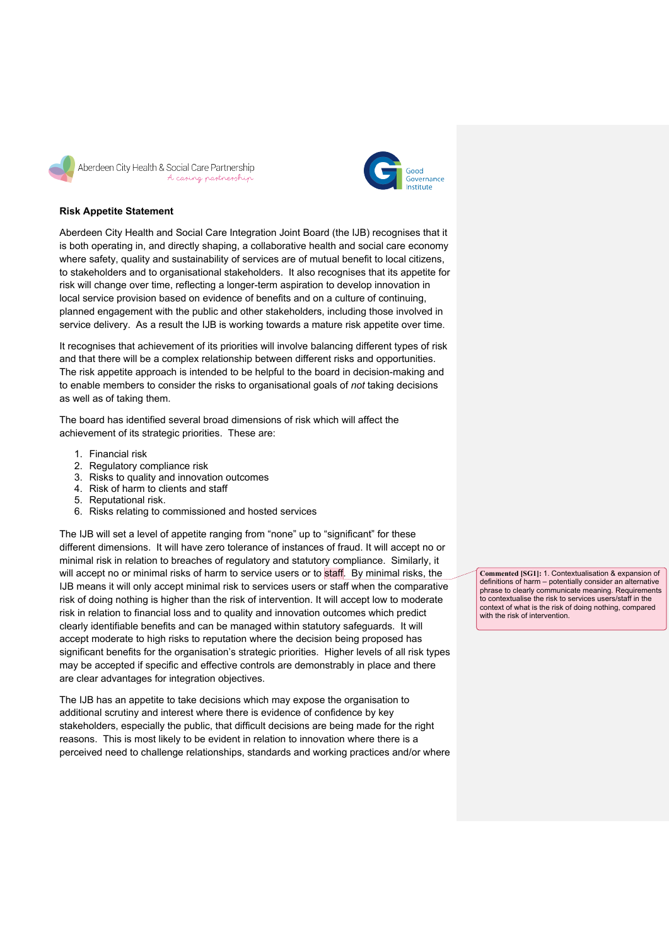



## **Risk Appetite Statement**

Aberdeen City Health and Social Care Integration Joint Board (the IJB) recognises that it is both operating in, and directly shaping, a collaborative health and social care economy where safety, quality and sustainability of services are of mutual benefit to local citizens, to stakeholders and to organisational stakeholders. It also recognises that its appetite for risk will change over time, reflecting a longer-term aspiration to develop innovation in local service provision based on evidence of benefits and on a culture of continuing, planned engagement with the public and other stakeholders, including those involved in service delivery. As a result the IJB is working towards a mature risk appetite over time.

It recognises that achievement of its priorities will involve balancing different types of risk and that there will be a complex relationship between different risks and opportunities. The risk appetite approach is intended to be helpful to the board in decision-making and to enable members to consider the risks to organisational goals of *not* taking decisions as well as of taking them.

The board has identified several broad dimensions of risk which will affect the achievement of its strategic priorities. These are:

- 1. Financial risk
- 2. Regulatory compliance risk
- 3. Risks to quality and innovation outcomes
- 4. Risk of harm to clients and staff
- 5. Reputational risk.
- 6. Risks relating to commissioned and hosted services

The IJB will set a level of appetite ranging from "none" up to "significant" for these different dimensions. It will have zero tolerance of instances of fraud. It will accept no or minimal risk in relation to breaches of regulatory and statutory compliance. Similarly, it will accept no or minimal risks of harm to service users or to staff. By minimal risks, the IJB means it will only accept minimal risk to services users or staff when the comparative risk of doing nothing is higher than the risk of intervention. It will accept low to moderate risk in relation to financial loss and to quality and innovation outcomes which predict clearly identifiable benefits and can be managed within statutory safeguards. It will accept moderate to high risks to reputation where the decision being proposed has significant benefits for the organisation's strategic priorities. Higher levels of all risk types may be accepted if specific and effective controls are demonstrably in place and there are clear advantages for integration objectives.

The IJB has an appetite to take decisions which may expose the organisation to additional scrutiny and interest where there is evidence of confidence by key stakeholders, especially the public, that difficult decisions are being made for the right reasons. This is most likely to be evident in relation to innovation where there is a perceived need to challenge relationships, standards and working practices and/or where

**Commented [SG1]:** 1. Contextualisation & expansion of definitions of harm – potentially consider an alternative phrase to clearly communicate meaning. Requirements to contextualise the risk to services users/staff in the context of what is the risk of doing nothing, compared with the risk of intervention.